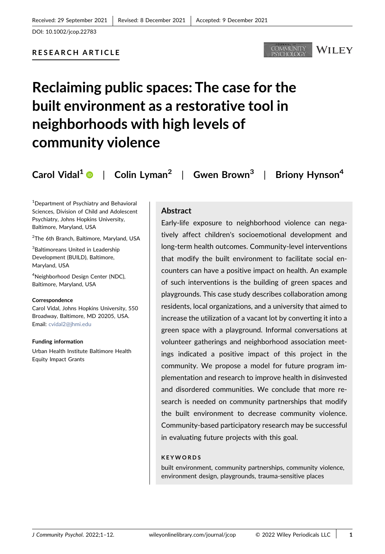## RESEARCH ARTICLE





# Reclaiming public spaces: The case for the built environment as a restorative tool in neighborhoods with high levels of community violence

Carol Vidal<sup>[1](http://orcid.org/0000-0001-5104-2284)</sup>  $\bullet$  | Colin Lyman<sup>2</sup> | Gwen Brown<sup>3</sup> | Briony Hynson<sup>4</sup>

1 Department of Psychiatry and Behavioral Sciences, Division of Child and Adolescent Psychiatry, Johns Hopkins University, Baltimore, Maryland, USA

2 The 6th Branch, Baltimore, Maryland, USA

<sup>3</sup>Baltimoreans United in Leadership Development (BUILD), Baltimore, Maryland, USA

<sup>4</sup>Neighborhood Design Center (NDC), Baltimore, Maryland, USA

#### Correspondence

Carol Vidal, Johns Hopkins University, 550 Broadway, Baltimore, MD 20205, USA. Email: [cvidal2@jhmi.edu](mailto:cvidal2@jhmi.edu)

Funding information Urban Health Institute Baltimore Health Equity Impact Grants

## **Abstract**

Early‐life exposure to neighborhood violence can negatively affect children's socioemotional development and long‐term health outcomes. Community‐level interventions that modify the built environment to facilitate social encounters can have a positive impact on health. An example of such interventions is the building of green spaces and playgrounds. This case study describes collaboration among residents, local organizations, and a university that aimed to increase the utilization of a vacant lot by converting it into a green space with a playground. Informal conversations at volunteer gatherings and neighborhood association meetings indicated a positive impact of this project in the community. We propose a model for future program implementation and research to improve health in disinvested and disordered communities. We conclude that more research is needed on community partnerships that modify the built environment to decrease community violence. Community‐based participatory research may be successful in evaluating future projects with this goal.

#### KEYWORDS

built environment, community partnerships, community violence, environment design, playgrounds, trauma‐sensitive places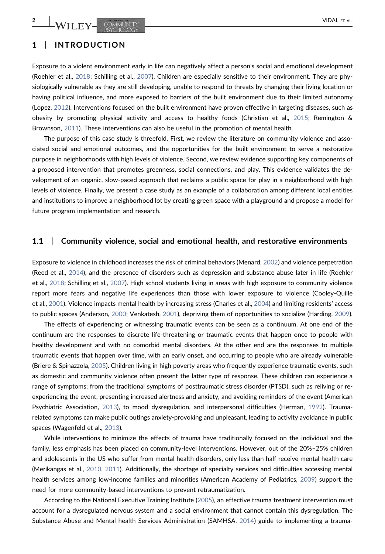# 1 | INTRODUCTION

Exposure to a violent environment early in life can negatively affect a person's social and emotional development (Roehler et al., [2018;](#page-10-0) Schilling et al., [2007](#page-10-1)). Children are especially sensitive to their environment. They are physiologically vulnerable as they are still developing, unable to respond to threats by changing their living location or having political influence, and more exposed to barriers of the built environment due to their limited autonomy (Lopez, [2012](#page-10-2)). Interventions focused on the built environment have proven effective in targeting diseases, such as obesity by promoting physical activity and access to healthy foods (Christian et al., [2015](#page-9-0); Remington & Brownson, [2011](#page-10-3)). These interventions can also be useful in the promotion of mental health.

The purpose of this case study is threefold. First, we review the literature on community violence and associated social and emotional outcomes, and the opportunities for the built environment to serve a restorative purpose in neighborhoods with high levels of violence. Second, we review evidence supporting key components of a proposed intervention that promotes greenness, social connections, and play. This evidence validates the development of an organic, slow‐paced approach that reclaims a public space for play in a neighborhood with high levels of violence. Finally, we present a case study as an example of a collaboration among different local entities and institutions to improve a neighborhood lot by creating green space with a playground and propose a model for future program implementation and research.

## 1.1 | Community violence, social and emotional health, and restorative environments

Exposure to violence in childhood increases the risk of criminal behaviors (Menard, [2002](#page-10-4)) and violence perpetration (Reed et al., [2014](#page-10-5)), and the presence of disorders such as depression and substance abuse later in life (Roehler et al., [2018;](#page-10-0) Schilling et al., [2007](#page-10-1)). High school students living in areas with high exposure to community violence report more fears and negative life experiences than those with lower exposure to violence (Cooley‐Quille et al., [2001\)](#page-9-1). Violence impacts mental health by increasing stress (Charles et al., [2004\)](#page-9-2) and limiting residents' access to public spaces (Anderson, [2000;](#page-8-0) Venkatesh, [2001\)](#page-11-0), depriving them of opportunities to socialize (Harding, [2009](#page-9-3)).

The effects of experiencing or witnessing traumatic events can be seen as a continuum. At one end of the continuum are the responses to discrete life‐threatening or traumatic events that happen once to people with healthy development and with no comorbid mental disorders. At the other end are the responses to multiple traumatic events that happen over time, with an early onset, and occurring to people who are already vulnerable (Briere & Spinazzola, [2005\)](#page-9-4). Children living in high poverty areas who frequently experience traumatic events, such as domestic and community violence often present the latter type of response. These children can experience a range of symptoms; from the traditional symptoms of posttraumatic stress disorder (PTSD), such as reliving or reexperiencing the event, presenting increased alertness and anxiety, and avoiding reminders of the event (American Psychiatric Association, [2013](#page-8-1)), to mood dysregulation, and interpersonal difficulties (Herman, [1992\)](#page-9-5). Traumarelated symptoms can make public outings anxiety‐provoking and unpleasant, leading to activity avoidance in public spaces (Wagenfeld et al., [2013](#page-11-1)).

While interventions to minimize the effects of trauma have traditionally focused on the individual and the family, less emphasis has been placed on community-level interventions. However, out of the 20%–25% children and adolescents in the US who suffer from mental health disorders, only less than half receive mental health care (Merikangas et al., [2010,](#page-10-6) [2011\)](#page-10-7). Additionally, the shortage of specialty services and difficulties accessing mental health services among low-income families and minorities (American Academy of Pediatrics, [2009\)](#page-8-2) support the need for more community‐based interventions to prevent retraumatization.

According to the National Executive Training Institute ([2005](#page-10-8)), an effective trauma treatment intervention must account for a dysregulated nervous system and a social environment that cannot contain this dysregulation. The Substance Abuse and Mental health Services Administration (SAMHSA, [2014](#page-11-2)) guide to implementing a trauma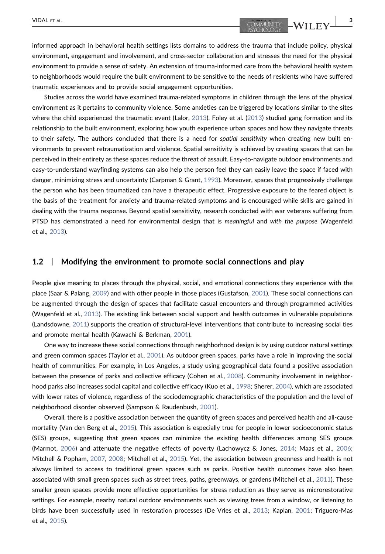informed approach in behavioral health settings lists domains to address the trauma that include policy, physical environment, engagement and involvement, and cross-sector collaboration and stresses the need for the physical environment to provide a sense of safety. An extension of trauma-informed care from the behavioral health system to neighborhoods would require the built environment to be sensitive to the needs of residents who have suffered traumatic experiences and to provide social engagement opportunities.

Studies across the world have examined trauma‐related symptoms in children through the lens of the physical environment as it pertains to community violence. Some anxieties can be triggered by locations similar to the sites where the child experienced the traumatic event (Lalor, [2013](#page-10-9)). Foley et al. [\(2013](#page-9-6)) studied gang formation and its relationship to the built environment, exploring how youth experience urban spaces and how they navigate threats to their safety. The authors concluded that there is a need for spatial sensitivity when creating new built environments to prevent retraumatization and violence. Spatial sensitivity is achieved by creating spaces that can be perceived in their entirety as these spaces reduce the threat of assault. Easy-to-navigate outdoor environments and easy-to-understand wayfinding systems can also help the person feel they can easily leave the space if faced with danger, minimizing stress and uncertainty (Carpman & Grant, [1993](#page-9-7)). Moreover, spaces that progressively challenge the person who has been traumatized can have a therapeutic effect. Progressive exposure to the feared object is the basis of the treatment for anxiety and trauma‐related symptoms and is encouraged while skills are gained in dealing with the trauma response. Beyond spatial sensitivity, research conducted with war veterans suffering from PTSD has demonstrated a need for environmental design that is meaningful and with the purpose (Wagenfeld et al., [2013](#page-11-1)).

#### 1.2 | Modifying the environment to promote social connections and play

People give meaning to places through the physical, social, and emotional connections they experience with the place (Saar & Palang, [2009\)](#page-10-10) and with other people in those places (Gustafson, [2001](#page-9-8)). These social connections can be augmented through the design of spaces that facilitate casual encounters and through programmed activities (Wagenfeld et al., [2013](#page-11-1)). The existing link between social support and health outcomes in vulnerable populations (Landsdowne, [2011\)](#page-10-11) supports the creation of structural‐level interventions that contribute to increasing social ties and promote mental health (Kawachi & Berkman, [2001](#page-9-9)).

One way to increase these social connections through neighborhood design is by using outdoor natural settings and green common spaces (Taylor et al., [2001](#page-11-3)). As outdoor green spaces, parks have a role in improving the social health of communities. For example, in Los Angeles, a study using geographical data found a positive association between the presence of parks and collective efficacy (Cohen et al., [2008\)](#page-9-10). Community involvement in neighborhood parks also increases social capital and collective efficacy (Kuo et al., [1998;](#page-10-12) Sherer, [2004](#page-10-13)), which are associated with lower rates of violence, regardless of the sociodemographic characteristics of the population and the level of neighborhood disorder observed (Sampson & Raudenbush, [2001\)](#page-10-14).

Overall, there is a positive association between the quantity of green spaces and perceived health and all‐cause mortality (Van den Berg et al., [2015](#page-11-4)). This association is especially true for people in lower socioeconomic status (SES) groups, suggesting that green spaces can minimize the existing health differences among SES groups (Marmot, [2006\)](#page-10-15) and attenuate the negative effects of poverty (Lachowycz & Jones, [2014](#page-10-16); Maas et al., [2006](#page-10-17); Mitchell & Popham, [2007](#page-10-18), [2008](#page-10-19); Mitchell et al., [2015](#page-10-20)). Yet, the association between greenness and health is not always limited to access to traditional green spaces such as parks. Positive health outcomes have also been associated with small green spaces such as street trees, paths, greenways, or gardens (Mitchell et al., [2011\)](#page-10-21). These smaller green spaces provide more effective opportunities for stress reduction as they serve as microrestorative settings. For example, nearby natural outdoor environments such as viewing trees from a window, or listening to birds have been successfully used in restoration processes (De Vries et al., [2013](#page-9-11); Kaplan, [2001;](#page-9-12) Triguero‐Mas et al., [2015](#page-11-5)).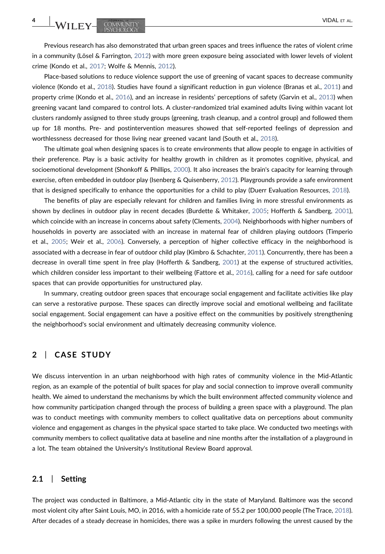WILEY-COMMUNITY COMMUNITY

Previous research has also demonstrated that urban green spaces and trees influence the rates of violent crime in a community (Lösel & Farrington, [2012\)](#page-10-22) with more green exposure being associated with lower levels of violent crime (Kondo et al., [2017](#page-10-23); Wolfe & Mennis, [2012\)](#page-11-6).

Place-based solutions to reduce violence support the use of greening of vacant spaces to decrease community violence (Kondo et al., [2018](#page-9-13)). Studies have found a significant reduction in gun violence (Branas et al., [2011\)](#page-9-14) and property crime (Kondo et al., [2016](#page-9-15)), and an increase in residents' perceptions of safety (Garvin et al., [2013](#page-9-16)) when greening vacant land compared to control lots. A cluster‐randomized trial examined adults living within vacant lot clusters randomly assigned to three study groups (greening, trash cleanup, and a control group) and followed them up for 18 months. Pre- and postintervention measures showed that self-reported feelings of depression and worthlessness decreased for those living near greened vacant land (South et al., [2018\)](#page-11-7).

The ultimate goal when designing spaces is to create environments that allow people to engage in activities of their preference. Play is a basic activity for healthy growth in children as it promotes cognitive, physical, and socioemotional development (Shonkoff & Phillips, [2000](#page-10-24)). It also increases the brain's capacity for learning through exercise, often embedded in outdoor play (Isenberg & Quisenberry, [2012\)](#page-9-17). Playgrounds provide a safe environment that is designed specifically to enhance the opportunities for a child to play (Duerr Evaluation Resources, [2018\)](#page-9-18).

The benefits of play are especially relevant for children and families living in more stressful environments as shown by declines in outdoor play in recent decades (Burdette & Whitaker, [2005](#page-9-19); Hofferth & Sandberg, [2001](#page-9-20)), which coincide with an increase in concerns about safety (Clements, [2004\)](#page-9-21). Neighborhoods with higher numbers of households in poverty are associated with an increase in maternal fear of children playing outdoors (Timperio et al., [2005](#page-11-8); Weir et al., [2006\)](#page-11-9). Conversely, a perception of higher collective efficacy in the neighborhood is associated with a decrease in fear of outdoor child play (Kimbro & Schachter, [2011](#page-9-22)). Concurrently, there has been a decrease in overall time spent in free play (Hofferth & Sandberg, [2001\)](#page-9-20) at the expense of structured activities, which children consider less important to their wellbeing (Fattore et al., [2016\)](#page-9-23), calling for a need for safe outdoor spaces that can provide opportunities for unstructured play.

In summary, creating outdoor green spaces that encourage social engagement and facilitate activities like play can serve a restorative purpose. These spaces can directly improve social and emotional wellbeing and facilitate social engagement. Social engagement can have a positive effect on the communities by positively strengthening the neighborhood's social environment and ultimately decreasing community violence.

## 2 | CASE STUDY

We discuss intervention in an urban neighborhood with high rates of community violence in the Mid‐Atlantic region, as an example of the potential of built spaces for play and social connection to improve overall community health. We aimed to understand the mechanisms by which the built environment affected community violence and how community participation changed through the process of building a green space with a playground. The plan was to conduct meetings with community members to collect qualitative data on perceptions about community violence and engagement as changes in the physical space started to take place. We conducted two meetings with community members to collect qualitative data at baseline and nine months after the installation of a playground in a lot. The team obtained the University's Institutional Review Board approval.

## 2.1 | Setting

The project was conducted in Baltimore, a Mid‐Atlantic city in the state of Maryland. Baltimore was the second most violent city after Saint Louis, MO, in 2016, with a homicide rate of 55.2 per 100,000 people (The Trace, [2018](#page-11-10)). After decades of a steady decrease in homicides, there was a spike in murders following the unrest caused by the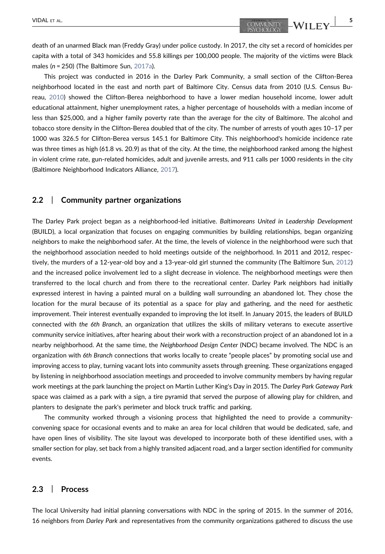death of an unarmed Black man (Freddy Gray) under police custody. In 2017, the city set a record of homicides per capita with a total of 343 homicides and 55.8 killings per 100,000 people. The majority of the victims were Black males ( $n = 250$ ) (The Baltimore Sun, [2017a](#page-11-11)).

This project was conducted in 2016 in the Darley Park Community, a small section of the Clifton‐Berea neighborhood located in the east and north part of Baltimore City. Census data from 2010 (U.S. Census Bureau, [2010](#page-11-12)) showed the Clifton‐Berea neighborhood to have a lower median household income, lower adult educational attainment, higher unemployment rates, a higher percentage of households with a median income of less than \$25,000, and a higher family poverty rate than the average for the city of Baltimore. The alcohol and tobacco store density in the Clifton‐Berea doubled that of the city. The number of arrests of youth ages 10–17 per 1000 was 326.5 for Clifton‐Berea versus 145.1 for Baltimore City. This neighborhood's homicide incidence rate was three times as high (61.8 vs. 20.9) as that of the city. At the time, the neighborhood ranked among the highest in violent crime rate, gun-related homicides, adult and juvenile arrests, and 911 calls per 1000 residents in the city (Baltimore Neighborhood Indicators Alliance, [2017\)](#page-8-3).

## 2.2 | Community partner organizations

The Darley Park project began as a neighborhood-led initiative. Baltimoreans United in Leadership Development (BUILD), a local organization that focuses on engaging communities by building relationships, began organizing neighbors to make the neighborhood safer. At the time, the levels of violence in the neighborhood were such that the neighborhood association needed to hold meetings outside of the neighborhood. In 2011 and 2012, respectively, the murders of a 12‐year‐old boy and a 13‐year‐old girl stunned the community (The Baltimore Sun, [2012](#page-11-13)) and the increased police involvement led to a slight decrease in violence. The neighborhood meetings were then transferred to the local church and from there to the recreational center. Darley Park neighbors had initially expressed interest in having a painted mural on a building wall surrounding an abandoned lot. They chose the location for the mural because of its potential as a space for play and gathering, and the need for aesthetic improvement. Their interest eventually expanded to improving the lot itself. In January 2015, the leaders of BUILD connected with the 6th Branch, an organization that utilizes the skills of military veterans to execute assertive community service initiatives, after hearing about their work with a reconstruction project of an abandoned lot in a nearby neighborhood. At the same time, the Neighborhood Design Center (NDC) became involved. The NDC is an organization with 6th Branch connections that works locally to create "people places" by promoting social use and improving access to play, turning vacant lots into community assets through greening. These organizations engaged by listening in neighborhood association meetings and proceeded to involve community members by having regular work meetings at the park launching the project on Martin Luther King's Day in 2015. The Darley Park Gateway Park space was claimed as a park with a sign, a tire pyramid that served the purpose of allowing play for children, and planters to designate the park's perimeter and block truck traffic and parking.

The community worked through a visioning process that highlighted the need to provide a community‐ convening space for occasional events and to make an area for local children that would be dedicated, safe, and have open lines of visibility. The site layout was developed to incorporate both of these identified uses, with a smaller section for play, set back from a highly transited adjacent road, and a larger section identified for community events.

#### 2.3 | Process

The local University had initial planning conversations with NDC in the spring of 2015. In the summer of 2016, 16 neighbors from Darley Park and representatives from the community organizations gathered to discuss the use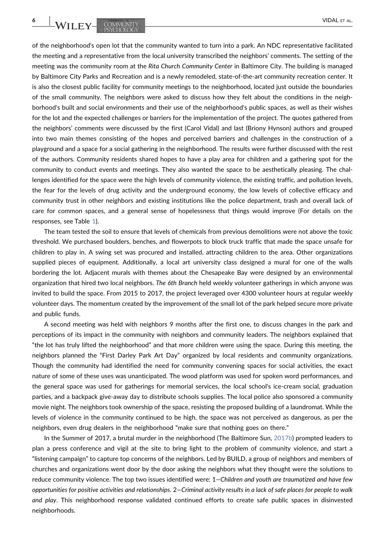of the neighborhood's open lot that the community wanted to turn into a park. An NDC representative facilitated the meeting and a representative from the local university transcribed the neighbors' comments. The setting of the meeting was the community room at the Rita Church Community Center in Baltimore City. The building is managed by Baltimore City Parks and Recreation and is a newly remodeled, state-of-the-art community recreation center. It is also the closest public facility for community meetings to the neighborhood, located just outside the boundaries of the small community. The neighbors were asked to discuss how they felt about the conditions in the neighborhood's built and social environments and their use of the neighborhood's public spaces, as well as their wishes for the lot and the expected challenges or barriers for the implementation of the project. The quotes gathered from the neighbors' comments were discussed by the first (Carol Vidal) and last (Briony Hynson) authors and grouped into two main themes consisting of the hopes and perceived barriers and challenges in the construction of a playground and a space for a social gathering in the neighborhood. The results were further discussed with the rest of the authors. Community residents shared hopes to have a play area for children and a gathering spot for the community to conduct events and meetings. They also wanted the space to be aesthetically pleasing. The challenges identified for the space were the high levels of community violence, the existing traffic, and pollution levels, the fear for the levels of drug activity and the underground economy, the low levels of collective efficacy and community trust in other neighbors and existing institutions like the police department, trash and overall lack of care for common spaces, and a general sense of hopelessness that things would improve (For details on the responses, see Table [1\)](#page-6-0).

The team tested the soil to ensure that levels of chemicals from previous demolitions were not above the toxic threshold. We purchased boulders, benches, and flowerpots to block truck traffic that made the space unsafe for children to play in. A swing set was procured and installed, attracting children to the area. Other organizations supplied pieces of equipment. Additionally, a local art university class designed a mural for one of the walls bordering the lot. Adjacent murals with themes about the Chesapeake Bay were designed by an environmental organization that hired two local neighbors. The 6th Branch held weekly volunteer gatherings in which anyone was invited to build the space. From 2015 to 2017, the project leveraged over 4300 volunteer hours at regular weekly volunteer days. The momentum created by the improvement of the small lot of the park helped secure more private and public funds.

A second meeting was held with neighbors 9 months after the first one, to discuss changes in the park and perceptions of its impact in the community with neighbors and community leaders. The neighbors explained that "the lot has truly lifted the neighborhood" and that more children were using the space. During this meeting, the neighbors planned the "First Darley Park Art Day" organized by local residents and community organizations. Though the community had identified the need for community convening spaces for social activities, the exact nature of some of these uses was unanticipated. The wood platform was used for spoken word performances, and the general space was used for gatherings for memorial services, the local school's ice-cream social, graduation parties, and a backpack give‐away day to distribute schools supplies. The local police also sponsored a community movie night. The neighbors took ownership of the space, resisting the proposed building of a laundromat. While the levels of violence in the community continued to be high, the space was not perceived as dangerous, as per the neighbors, even drug dealers in the neighborhood "make sure that nothing goes on there."

In the Summer of 2017, a brutal murder in the neighborhood (The Baltimore Sun, [2017b\)](#page-8-3) prompted leaders to plan a press conference and vigil at the site to bring light to the problem of community violence, and start a "listening campaign" to capture top concerns of the neighbors. Led by BUILD, a group of neighbors and members of churches and organizations went door by the door asking the neighbors what they thought were the solutions to reduce community violence. The top two issues identified were: 1—Children and youth are traumatized and have few opportunities for positive activities and relationships. 2—Criminal activity results in a lack of safe places for people to walk and play. This neighborhood response validated continued efforts to create safe public spaces in disinvested neighborhoods.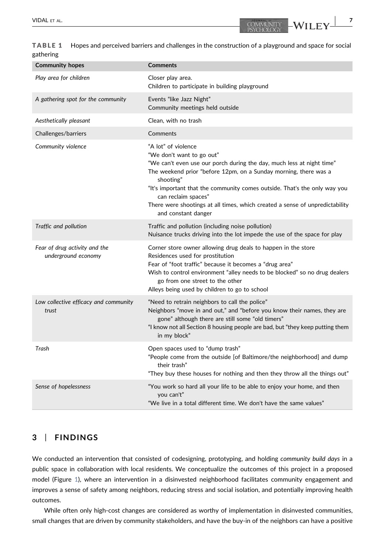<span id="page-6-0"></span>TABLE 1 Hopes and perceived barriers and challenges in the construction of a playground and space for social gathering

| <b>Community hopes</b>                               | <b>Comments</b>                                                                                                                                                                                                                                                                                                                                                                                                       |
|------------------------------------------------------|-----------------------------------------------------------------------------------------------------------------------------------------------------------------------------------------------------------------------------------------------------------------------------------------------------------------------------------------------------------------------------------------------------------------------|
| Play area for children                               | Closer play area.<br>Children to participate in building playground                                                                                                                                                                                                                                                                                                                                                   |
| A gathering spot for the community                   | Events "like Jazz Night"<br>Community meetings held outside                                                                                                                                                                                                                                                                                                                                                           |
| Aesthetically pleasant                               | Clean, with no trash                                                                                                                                                                                                                                                                                                                                                                                                  |
| Challenges/barriers                                  | Comments                                                                                                                                                                                                                                                                                                                                                                                                              |
| Community violence                                   | "A lot" of violence<br>"We don't want to go out"<br>"We can't even use our porch during the day, much less at night time"<br>The weekend prior "before 12pm, on a Sunday morning, there was a<br>shooting"<br>"It's important that the community comes outside. That's the only way you<br>can reclaim spaces"<br>There were shootings at all times, which created a sense of unpredictability<br>and constant danger |
| Traffic and pollution                                | Traffic and pollution (including noise pollution)<br>Nuisance trucks driving into the lot impede the use of the space for play                                                                                                                                                                                                                                                                                        |
| Fear of drug activity and the<br>underground economy | Corner store owner allowing drug deals to happen in the store<br>Residences used for prostitution<br>Fear of "foot traffic" because it becomes a "drug area"<br>Wish to control environment "alley needs to be blocked" so no drug dealers<br>go from one street to the other<br>Alleys being used by children to go to school                                                                                        |
| Low collective efficacy and community<br>trust       | "Need to retrain neighbors to call the police"<br>Neighbors "move in and out," and "before you know their names, they are<br>gone" although there are still some "old timers"<br>"I know not all Section 8 housing people are bad, but "they keep putting them<br>in my block"                                                                                                                                        |
| Trash                                                | Open spaces used to "dump trash"<br>"People come from the outside [of Baltimore/the neighborhood] and dump<br>their trash"<br>"They buy these houses for nothing and then they throw all the things out"                                                                                                                                                                                                              |
| Sense of hopelessness                                | "You work so hard all your life to be able to enjoy your home, and then<br>you can't"<br>"We live in a total different time. We don't have the same values"                                                                                                                                                                                                                                                           |

# 3 | FINDINGS

We conducted an intervention that consisted of codesigning, prototyping, and holding community build days in a public space in collaboration with local residents. We conceptualize the outcomes of this project in a proposed model (Figure [1](#page-7-0)), where an intervention in a disinvested neighborhood facilitates community engagement and improves a sense of safety among neighbors, reducing stress and social isolation, and potentially improving health outcomes.

While often only high-cost changes are considered as worthy of implementation in disinvested communities, small changes that are driven by community stakeholders, and have the buy-in of the neighbors can have a positive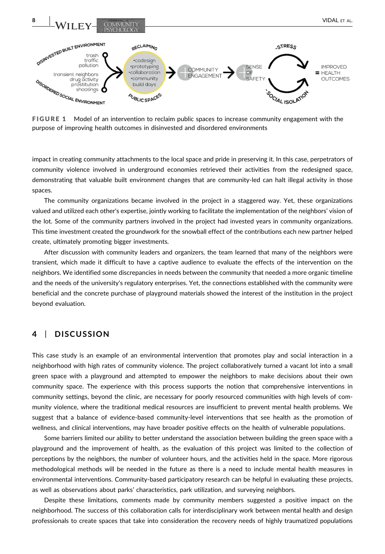<span id="page-7-0"></span>

FIGURE 1 Model of an intervention to reclaim public spaces to increase community engagement with the purpose of improving health outcomes in disinvested and disordered environments

impact in creating community attachments to the local space and pride in preserving it. In this case, perpetrators of community violence involved in underground economies retrieved their activities from the redesigned space, demonstrating that valuable built environment changes that are community‐led can halt illegal activity in those spaces.

The community organizations became involved in the project in a staggered way. Yet, these organizations valued and utilized each other's expertise, jointly working to facilitate the implementation of the neighbors' vision of the lot. Some of the community partners involved in the project had invested years in community organizations. This time investment created the groundwork for the snowball effect of the contributions each new partner helped create, ultimately promoting bigger investments.

After discussion with community leaders and organizers, the team learned that many of the neighbors were transient, which made it difficult to have a captive audience to evaluate the effects of the intervention on the neighbors. We identified some discrepancies in needs between the community that needed a more organic timeline and the needs of the university's regulatory enterprises. Yet, the connections established with the community were beneficial and the concrete purchase of playground materials showed the interest of the institution in the project beyond evaluation.

# 4 | DISCUSSION

This case study is an example of an environmental intervention that promotes play and social interaction in a neighborhood with high rates of community violence. The project collaboratively turned a vacant lot into a small green space with a playground and attempted to empower the neighbors to make decisions about their own community space. The experience with this process supports the notion that comprehensive interventions in community settings, beyond the clinic, are necessary for poorly resourced communities with high levels of community violence, where the traditional medical resources are insufficient to prevent mental health problems. We suggest that a balance of evidence-based community-level interventions that see health as the promotion of wellness, and clinical interventions, may have broader positive effects on the health of vulnerable populations.

Some barriers limited our ability to better understand the association between building the green space with a playground and the improvement of health, as the evaluation of this project was limited to the collection of perceptions by the neighbors, the number of volunteer hours, and the activities held in the space. More rigorous methodological methods will be needed in the future as there is a need to include mental health measures in environmental interventions. Community‐based participatory research can be helpful in evaluating these projects, as well as observations about parks' characteristics, park utilization, and surveying neighbors.

Despite these limitations, comments made by community members suggested a positive impact on the neighborhood. The success of this collaboration calls for interdisciplinary work between mental health and design professionals to create spaces that take into consideration the recovery needs of highly traumatized populations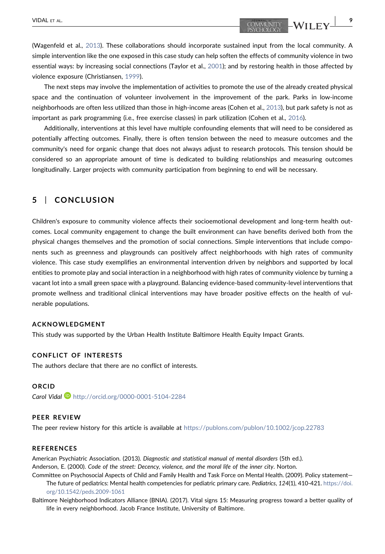(Wagenfeld et al., [2013](#page-11-1)). These collaborations should incorporate sustained input from the local community. A simple intervention like the one exposed in this case study can help soften the effects of community violence in two essential ways: by increasing social connections (Taylor et al., [2001](#page-11-3)); and by restoring health in those affected by violence exposure (Christiansen, [1999](#page-9-24)).

The next steps may involve the implementation of activities to promote the use of the already created physical space and the continuation of volunteer involvement in the improvement of the park. Parks in low-income neighborhoods are often less utilized than those in high-income areas (Cohen et al., [2013\)](#page-9-25), but park safety is not as important as park programming (i.e., free exercise classes) in park utilization (Cohen et al., [2016\)](#page-9-26).

Additionally, interventions at this level have multiple confounding elements that will need to be considered as potentially affecting outcomes. Finally, there is often tension between the need to measure outcomes and the community's need for organic change that does not always adjust to research protocols. This tension should be considered so an appropriate amount of time is dedicated to building relationships and measuring outcomes longitudinally. Larger projects with community participation from beginning to end will be necessary.

# 5 | CONCLUSION

Children's exposure to community violence affects their socioemotional development and long‐term health outcomes. Local community engagement to change the built environment can have benefits derived both from the physical changes themselves and the promotion of social connections. Simple interventions that include components such as greenness and playgrounds can positively affect neighborhoods with high rates of community violence. This case study exemplifies an environmental intervention driven by neighbors and supported by local entities to promote play and social interaction in a neighborhood with high rates of community violence by turning a vacant lot into a small green space with a playground. Balancing evidence‐based community‐level interventions that promote wellness and traditional clinical interventions may have broader positive effects on the health of vulnerable populations.

#### ACKNOWLEDGMENT

This study was supported by the Urban Health Institute Baltimore Health Equity Impact Grants.

#### CONFLICT OF INTERESTS

The authors declare that there are no conflict of interests.

#### ORCID

Carol Vidal <http://orcid.org/0000-0001-5104-2284>

## PEER REVIEW

The peer review history for this article is available at <https://publons.com/publon/10.1002/jcop.22783>

#### REFERENCES

<span id="page-8-1"></span><span id="page-8-0"></span>American Psychiatric Association. (2013). Diagnostic and statistical manual of mental disorders (5th ed.). Anderson, E. (2000). Code of the street: Decency, violence, and the moral life of the inner city. Norton.

- <span id="page-8-2"></span>Committee on Psychosocial Aspects of Child and Family Health and Task Force on Mental Health. (2009). Policy statement The future of pediatrics: Mental health competencies for pediatric primary care. Pediatrics, 124(1), 410-421. [https://doi.](https://doi.org/10.1542/peds.2009-1061) [org/10.1542/peds.2009-1061](https://doi.org/10.1542/peds.2009-1061)
- <span id="page-8-3"></span>Baltimore Neighborhood Indicators Alliance (BNIA). (2017). Vital signs 15: Measuring progress toward a better quality of life in every neighborhood. Jacob France Institute, University of Baltimore.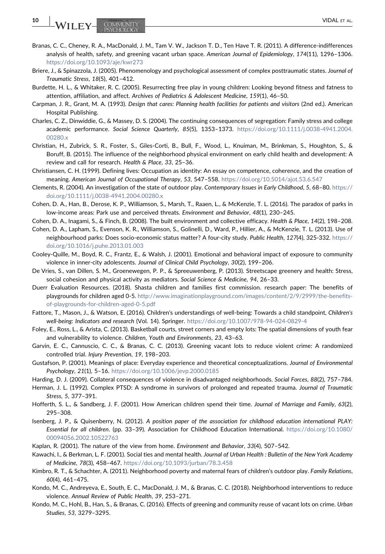- <span id="page-9-14"></span>Branas, C. C., Cheney, R. A., MacDonald, J. M., Tam V. W., Jackson T. D., Ten Have T. R. (2011). A difference-indifferences analysis of health, safety, and greening vacant urban space. American Journal of Epidemiology, 174(11), 1296–1306. <https://doi.org/10.1093/aje/kwr273>
- <span id="page-9-4"></span>Briere, J., & Spinazzola, J. (2005). Phenomenology and psychological assessment of complex posttraumatic states. Journal of Traumatic Stress, 18(5), 401–412.
- <span id="page-9-19"></span>Burdette, H. L., & Whitaker, R. C. (2005). Resurrecting free play in young children: Looking beyond fitness and fatness to attention, affiliation, and affect. Archives of Pediatrics & Adolescent Medicine, 159(1), 46–50.
- <span id="page-9-7"></span>Carpman, J. R., Grant, M. A. (1993). Design that cares: Planning health facilities for patients and visitors (2nd ed.). American Hospital Publishing.
- <span id="page-9-2"></span>Charles, C. Z., Dinwiddie, G., & Massey, D. S. (2004). The continuing consequences of segregation: Family stress and college academic performance. Social Science Quarterly, 85(5), 1353–1373. [https://doi.org/10.1111/j.0038-4941.2004.](https://doi.org/10.1111/j.0038-4941.2004.00280.x) [00280.x](https://doi.org/10.1111/j.0038-4941.2004.00280.x)
- <span id="page-9-0"></span>Christian, H., Zubrick, S. R., Foster, S., Giles‐Corti, B., Bull, F., Wood, L., Knuiman, M., Brinkman, S., Houghton, S., & Boruff, B. (2015). The influence of the neighborhood physical environment on early child health and development: A review and call for research. Health & Place, 33, 25–36.
- <span id="page-9-24"></span>Christiansen, C. H. (1999). Defining lives: Occupation as identity: An essay on competence, coherence, and the creation of meaning. American Journal of Occupational Therapy, 53, 547-558. <https://doi.org/10.5014/ajot.53.6.547>
- <span id="page-9-21"></span>Clements, R. (2004). An investigation of the state of outdoor play. Contemporary Issues in Early Childhood, 5, 68–80. [https://](https://doi.org/10.1111/j.0038-4941.2004.00280.x) [doi.org/10.1111/j.0038-4941.2004.00280.x](https://doi.org/10.1111/j.0038-4941.2004.00280.x)
- <span id="page-9-26"></span>Cohen, D. A., Han, B., Derose, K. P., Williamson, S., Marsh, T., Raaen, L., & McKenzie, T. L. (2016). The paradox of parks in low-income areas: Park use and perceived threats. Environment and Behavior, 48(1), 230-245.
- <span id="page-9-10"></span>Cohen, D. A., Inagami, S., & Finch, B. (2008). The built environment and collective efficacy. Health & Place, 14(2), 198–208.
- <span id="page-9-25"></span>Cohen, D. A., Lapham, S., Evenson, K. R., Williamson, S., Golinelli, D., Ward, P., Hillier, A., & McKenzie, T. L. (2013). Use of neighbourhood parks: Does socio‐economic status matter? A four‐city study. Public Health, 127(4), 325‐332. [https://](https://doi.org/10.1016/j.puhe.2013.01.003) [doi.org/10.1016/j.puhe.2013.01.003](https://doi.org/10.1016/j.puhe.2013.01.003)
- <span id="page-9-1"></span>Cooley‐Quille, M., Boyd, R. C., Frantz, E., & Walsh, J. (2001). Emotional and behavioral impact of exposure to community violence in inner-city adolescents. Journal of Clinical Child Psychology, 30(2), 199-206.
- <span id="page-9-11"></span>De Vries, S., van Dillen, S. M., Groenewegen, P. P., & Spreeuwenberg, P. (2013). Streetscape greenery and health: Stress, social cohesion and physical activity as mediators. Social Science & Medicine, 94, 26–33.
- <span id="page-9-18"></span>Duerr Evaluation Resources. (2018). Shasta children and families first commission. research paper: The benefits of playgrounds for children aged 0‐5. [http://www.imaginationplayground.com/images/content/2/9/2999/the-benefits](http://www.imaginationplayground.com/images/content/2/9/2999/the-benefits-of-playgrounds-for-children-aged-0-5.pdf)[of-playgrounds-for-children-aged-0-5.pdf](http://www.imaginationplayground.com/images/content/2/9/2999/the-benefits-of-playgrounds-for-children-aged-0-5.pdf)
- <span id="page-9-23"></span>Fattore, T., Mason, J., & Watson, E. (2016). Children's understandings of well‐being: Towards a child standpoint, Children's well-being: Indicators and research (Vol. 14). Springer. <https://doi.org/10.1007/978-94-024-0829-4>
- <span id="page-9-6"></span>Foley, E., Ross, L., & Arista, C. (2013). Basketball courts, street corners and empty lots: The spatial dimensions of youth fear and vulnerability to violence. Children, Youth and Environments, 23, 43–63.
- <span id="page-9-16"></span>Garvin, E. C., Cannuscio, C. C., & Branas, C. C. (2013). Greening vacant lots to reduce violent crime: A randomized controlled trial. Injury Prevention, 19, 198–203.
- <span id="page-9-8"></span>Gustafson, P. (2001). Meanings of place: Everyday experience and theoretical conceptualizations. Journal of Environmental Psychology, 21(1), 5–16. <https://doi.org/10.1006/jevp.2000.0185>
- <span id="page-9-3"></span>Harding, D. J. (2009). Collateral consequences of violence in disadvantaged neighborhoods. Social Forces, 88(2), 757–784.
- <span id="page-9-5"></span>Herman, J. L. (1992). Complex PTSD: A syndrome in survivors of prolonged and repeated trauma. Journal of Traumatic Stress, 5, 377–391.
- <span id="page-9-20"></span>Hofferth, S. L., & Sandberg, J. F. (2001). How American children spend their time. Journal of Marriage and Family, 63(2), 295–308.
- <span id="page-9-17"></span>Isenberg, J. P., & Quisenberry, N. (2012). A position paper of the association for childhood education international PLAY: Essential for all children. (pp. 33–39). Association for Childhood Education International. [https://doi.org/10.1080/](https://doi.org/10.1080/00094056.2002.10522763) [00094056.2002.10522763](https://doi.org/10.1080/00094056.2002.10522763)
- <span id="page-9-12"></span>Kaplan, R. (2001). The nature of the view from home. Environment and Behavior, 33(4), 507–542.
- <span id="page-9-9"></span>Kawachi, I., & Berkman, L. F. (2001). Social ties and mental health. Journal of Urban Health : Bulletin of the New York Academy of Medicine, 78(3), 458–467. <https://doi.org/10.1093/jurban/78.3.458>
- <span id="page-9-22"></span>Kimbro, R. T., & Schachter, A. (2011). Neighborhood poverty and maternal fears of children's outdoor play. Family Relations, 60(4), 461–475.
- <span id="page-9-13"></span>Kondo, M. C., Andreyeva, E., South, E. C., MacDonald, J. M., & Branas, C. C. (2018). Neighborhood interventions to reduce violence. Annual Review of Public Health, 39, 253–271.
- <span id="page-9-15"></span>Kondo, M. C., Hohl, B., Han, S., & Branas, C. (2016). Effects of greening and community reuse of vacant lots on crime. Urban Studies, 53, 3279–3295.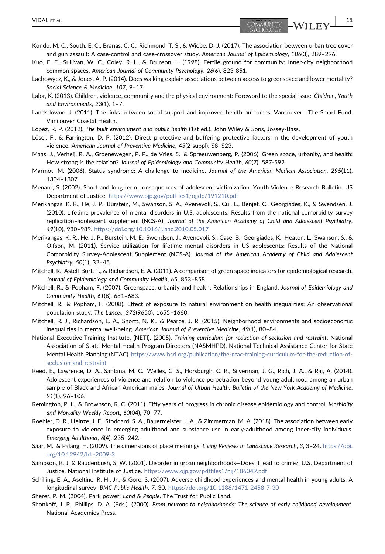- <span id="page-10-23"></span>Kondo, M. C., South, E. C., Branas, C. C., Richmond, T. S., & Wiebe, D. J. (2017). The association between urban tree cover and gun assault: A case-control and case-crossover study. American Journal of Epidemiology, 186(3), 289-296.
- <span id="page-10-12"></span>Kuo, F. E., Sullivan, W. C., Coley, R. L., & Brunson, L. (1998). Fertile ground for community: Inner‐city neighborhood common spaces. American Journal of Community Psychology, 26(6), 823‐851.
- <span id="page-10-16"></span>Lachowycz, K., & Jones, A. P. (2014). Does walking explain associations between access to greenspace and lower mortality? Social Science & Medicine, 107, 9–17.
- <span id="page-10-9"></span>Lalor, K. (2013). Children, violence, community and the physical environment: Foreword to the special issue. Children, Youth and Environments, 23(1), 1–7.
- <span id="page-10-11"></span>Landsdowne, J. (2011). The links between social support and improved health outcomes. Vancouver : The Smart Fund, Vancouver Coastal Health.
- <span id="page-10-2"></span>Lopez, R. P. (2012). The built environment and public health (1st ed.). John Wiley & Sons, Jossey‐Bass.
- <span id="page-10-22"></span>Lösel, F., & Farrington, D. P. (2012). Direct protective and buffering protective factors in the development of youth violence. American Journal of Preventive Medicine, 43(2 suppl), S8–S23.
- <span id="page-10-17"></span>Maas, J., Verheij, R. A., Groenewegen, P. P., de Vries, S., & Spreeuwenberg, P. (2006). Green space, urbanity, and health: How strong is the relation? Journal of Epidemiology and Community Health, 60(7), 587‐592.
- <span id="page-10-15"></span>Marmot, M. (2006). Status syndrome: A challenge to medicine. Journal of the American Medical Association, 295(11), 1304–1307.
- <span id="page-10-4"></span>Menard, S. (2002). Short and long term consequences of adolescent victimization. Youth Violence Research Bulletin. US Department of Justice. <https://www.ojp.gov/pdffiles1/ojjdp/191210.pdf>
- <span id="page-10-6"></span>Merikangas, K. R., He, J. P., Burstein, M., Swanson, S. A., Avenevoli, S., Cui, L., Benjet, C., Georgiades, K., & Swendsen, J. (2010). Lifetime prevalence of mental disorders in U.S. adolescents: Results from the national comorbidity survey replication–adolescent supplement (NCS‐A). Journal of the American Academy of Child and Adolescent Psychiatry, 49(10), 980–989. <https://doi.org/10.1016/j.jaac.2010.05.017>
- <span id="page-10-7"></span>Merikangas, K. R., He, J. P., Burstein, M. E., Swendsen, J., Avenevoli, S., Case, B., Georgiades, K., Heaton, L., Swanson, S., & Olfson, M. (2011). Service utilization for lifetime mental disorders in US adolescents: Results of the National Comorbidity Survey‐Adolescent Supplement (NCS‐A). Journal of the American Academy of Child and Adolescent Psychiatry, 50(1), 32–45.
- <span id="page-10-21"></span>Mitchell, R., Astell‐Burt, T., & Richardson, E. A. (2011). A comparison of green space indicators for epidemiological research. Journal of Epidemiology and Community Health, 65, 853–858.
- <span id="page-10-18"></span>Mitchell, R., & Popham, F. (2007). Greenspace, urbanity and health: Relationships in England. Journal of Epidemiology and Community Health, 61(8), 681–683.
- <span id="page-10-19"></span>Mitchell, R., & Popham, F. (2008). Effect of exposure to natural environment on health inequalities: An observational population study. The Lancet, 372(9650), 1655–1660.
- <span id="page-10-20"></span>Mitchell, R. J., Richardson, E. A., Shortt, N. K., & Pearce, J. R. (2015). Neighborhood environments and socioeconomic inequalities in mental well‐being. American Journal of Preventive Medicine, 49(1), 80–84.
- <span id="page-10-8"></span>National Executive Training Institute, (NETI). (2005). Training curriculum for reduction of seclusion and restraint. National Association of State Mental Health Program Directors (NASMHPD), National Technical Assistance Center for State Mental Health Planning (NTAC). [https://www.hsri.org/publication/the-ntac-training-curriculum-for-the-reduction-of](https://www.hsri.org/publication/the-ntac-training-curriculum-for-the-reduction-of-seclusion-and-restraint)[seclusion-and-restraint](https://www.hsri.org/publication/the-ntac-training-curriculum-for-the-reduction-of-seclusion-and-restraint)
- <span id="page-10-5"></span>Reed, E., Lawrence, D. A., Santana, M. C., Welles, C. S., Horsburgh, C. R., Silverman, J. G., Rich, J. A., & Raj, A. (2014). Adolescent experiences of violence and relation to violence perpetration beyond young adulthood among an urban sample of Black and African American males. Journal of Urban Health: Bulletin of the New York Academy of Medicine, 91(1), 96–106.
- <span id="page-10-3"></span>Remington, P. L., & Brownson, R. C. (2011). Fifty years of progress in chronic disease epidemiology and control. Morbidity and Mortality Weekly Report, 60(04), 70–77.
- <span id="page-10-0"></span>Roehler, D. R., Heinze, J. E., Stoddard, S. A., Bauermeister, J. A., & Zimmerman, M. A. (2018). The association between early exposure to violence in emerging adulthood and substance use in early‐adulthood among inner‐city individuals. Emerging Adulthood, 6(4), 235–242.
- <span id="page-10-10"></span>Saar, M., & Palang, H. (2009). The dimensions of place meanings. Living Reviews in Landscape Research, 3, 3–24. [https://doi.](https://doi.org/10.12942/lrlr-2009-3) [org/10.12942/lrlr-2009-3](https://doi.org/10.12942/lrlr-2009-3)
- <span id="page-10-14"></span>Sampson, R. J. & Raudenbush, S. W. (2001). Disorder in urban neighborhoods—Does it lead to crime?. U.S. Department of Justice, National Institute of Justice. <https://www.ojp.gov/pdffiles1/nij/186049.pdf>
- <span id="page-10-1"></span>Schilling, E. A., Aseltine, R. H., Jr., & Gore, S. (2007). Adverse childhood experiences and mental health in young adults: A longitudinal survey. BMC Public Health, 7, 30. <https://doi.org/10.1186/1471-2458-7-30>
- <span id="page-10-13"></span>Sherer, P. M. (2004). Park power! Land & People. The Trust for Public Land.
- <span id="page-10-24"></span>Shonkoff, J. P., Phillips, D. A. (Eds.). (2000). From neurons to neighborhoods: The science of early childhood development. National Academies Press.